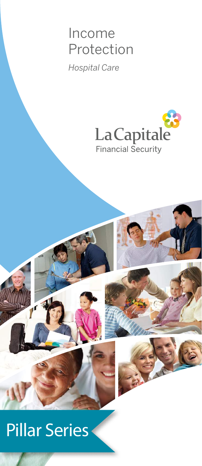## Income Protection

*Hospital Care*



# Pillar Series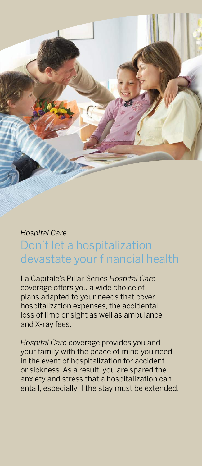

### *Hospital Care* Don't let a hospitalization devastate your financial health

La Capitale's Pillar Series *Hospital Care* coverage offers you a wide choice of plans adapted to your needs that cover hospitalization expenses, the accidental loss of limb or sight as well as ambulance and X-ray fees.

*Hospital Care* coverage provides you and your family with the peace of mind you need in the event of hospitalization for accident or sickness. As a result, you are spared the anxiety and stress that a hospitalization can entail, especially if the stay must be extended.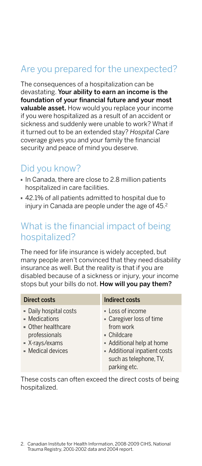#### Are you prepared for the unexpected?

The consequences of a hospitalization can be devastating. Your ability to earn an income is the foundation of your financial future and your most valuable asset. How would you replace your income if you were hospitalized as a result of an accident or sickness and suddenly were unable to work? What if it turned out to be an extended stay? *Hospital Care* coverage gives you and your family the financial security and peace of mind you deserve.

#### Did you know?

- In Canada, there are close to 2.8 million patients hospitalized in care facilities.
- 42.1% of all patients admitted to hospital due to injury in Canada are people under the age of 45.2

#### What is the financial impact of being hospitalized?

The need for life insurance is widely accepted, but many people aren't convinced that they need disability insurance as well. But the reality is that if you are disabled because of a sickness or injury, your income stops but your bills do not. How will you pay them?

| <b>Direct costs</b>                                                                                                   | Indirect costs                                                                                                                                                                  |
|-----------------------------------------------------------------------------------------------------------------------|---------------------------------------------------------------------------------------------------------------------------------------------------------------------------------|
| · Daily hospital costs<br>• Medications<br>• Other healthcare<br>professionals<br>■ X-rays/exams<br>- Medical devices | • Loss of income<br>• Caregiver loss of time<br>from work<br>• Childcare<br>- Additional help at home<br>- Additional inpatient costs<br>such as telephone, TV,<br>parking etc. |

These costs can often exceed the direct costs of being hospitalized.

<sup>2.</sup> Canadian Institute for Health Information, 2008-2009 CIHS, National Trauma Registry, 2001-2002 data and 2004 report.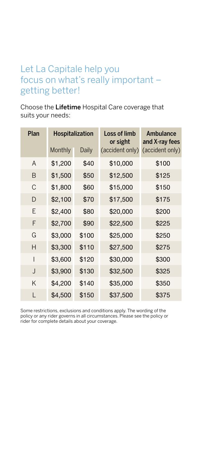#### Let La Capitale help you focus on what's really important – getting better!

Choose the Lifetime Hospital Care coverage that suits your needs:

| Plan         | Hospitalization |       | Loss of limb<br>or sight | Ambulance<br>and X-ray fees |
|--------------|-----------------|-------|--------------------------|-----------------------------|
|              | Monthly         | Daily | (accident only)          | (accident only)             |
| A            | \$1,200         | \$40  | \$10,000                 | \$100                       |
| B            | \$1,500         | \$50  | \$12,500                 | \$125                       |
| С            | \$1,800         | \$60  | \$15,000                 | \$150                       |
| D            | \$2,100         | \$70  | \$17,500                 | \$175                       |
| F            | \$2,400         | \$80  | \$20,000                 | \$200                       |
| F            | \$2,700         | \$90  | \$22,500                 | \$225                       |
| G            | \$3,000         | \$100 | \$25,000                 | \$250                       |
| Н            | \$3,300         | \$110 | \$27,500                 | \$275                       |
| I            | \$3,600         | \$120 | \$30,000                 | \$300                       |
| $\mathsf{I}$ | \$3,900         | \$130 | \$32,500                 | \$325                       |
| K            | \$4,200         | \$140 | \$35,000                 | \$350                       |
| L            | \$4,500         | \$150 | \$37,500                 | \$375                       |

Some restrictions, exclusions and conditions apply. The wording of the policy or any rider governs in all circumstances. Please see the policy or rider for complete details about your coverage.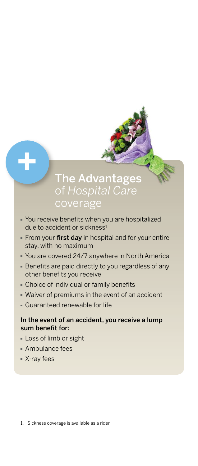### **The Advantages** of *Hospital Care* coverage

- You receive benefits when you are hospitalized due to accident or sickness<sup>1</sup>
- From your first day in hospital and for your entire stay, with no maximum
- You are covered 24/7 anywhere in North America
- Benefits are paid directly to you regardless of any other benefits you receive
- Choice of individual or family benefits
- Waiver of premiums in the event of an accident
- Guaranteed renewable for life

#### In the event of an accident, you receive a lump sum benefit for:

- Loss of limb or sight
- Ambulance fees
- X-ray fees

**+**